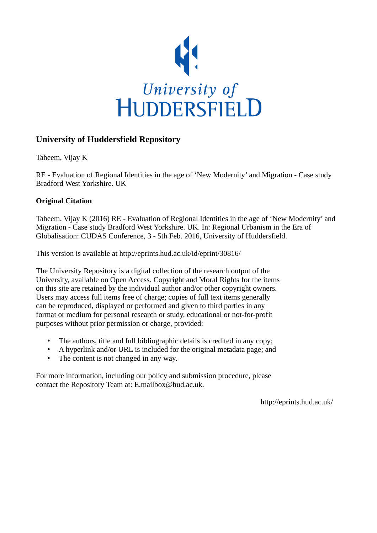

## **University of Huddersfield Repository**

Taheem, Vijay K

RE - Evaluation of Regional Identities in the age of 'New Modernity' and Migration - Case study Bradford West Yorkshire. UK

## **Original Citation**

Taheem, Vijay K (2016) RE - Evaluation of Regional Identities in the age of 'New Modernity' and Migration - Case study Bradford West Yorkshire. UK. In: Regional Urbanism in the Era of Globalisation: CUDAS Conference, 3 - 5th Feb. 2016, University of Huddersfield.

This version is available at http://eprints.hud.ac.uk/id/eprint/30816/

The University Repository is a digital collection of the research output of the University, available on Open Access. Copyright and Moral Rights for the items on this site are retained by the individual author and/or other copyright owners. Users may access full items free of charge; copies of full text items generally can be reproduced, displayed or performed and given to third parties in any format or medium for personal research or study, educational or not-for-profit purposes without prior permission or charge, provided:

- The authors, title and full bibliographic details is credited in any copy;
- A hyperlink and/or URL is included for the original metadata page; and
- The content is not changed in any way.

For more information, including our policy and submission procedure, please contact the Repository Team at: E.mailbox@hud.ac.uk.

http://eprints.hud.ac.uk/